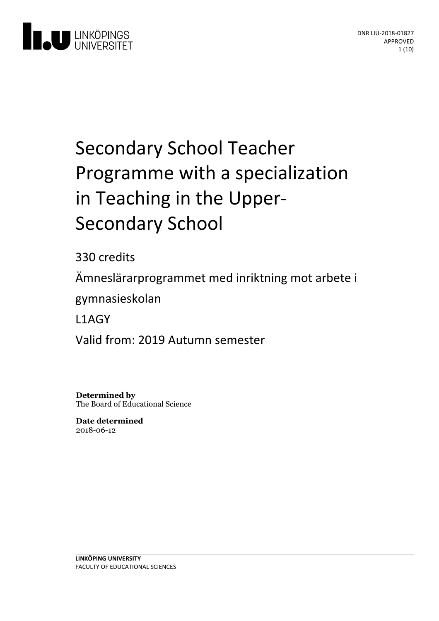

# Secondary School Teacher Programme with a specialization in Teaching in the Upper-<br>Secondary School

330 credits

Ämneslärarprogrammet med inriktning motarbete i

gymnasieskolan

L1AGY

Valid from: 2019 Autumn semester

**Determined by** The Board of Educational Science

**Date determined** 2018-06-12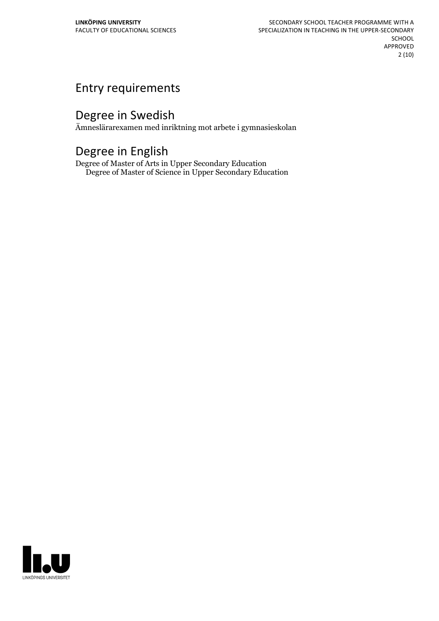# Entry requirements

# Degree in Swedish

Ämneslärarexamen med inriktning mot arbete i gymnasieskolan

# Degree in English

Degree of Master of Arts in Upper Secondary Education Degree of Master of Science in Upper Secondary Education

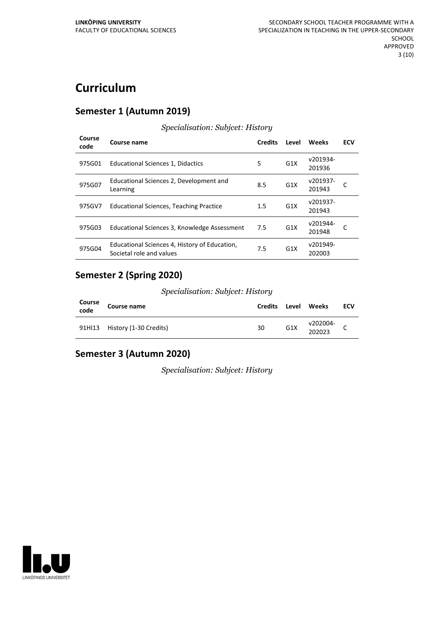# **Curriculum**

#### **Semester 1 (Autumn 2019)**

#### **Course code Course name Credits Level Weeks ECV** 975G01 Educational Sciences 1, Didactics 5 G1X 201936 v201934-975G07 Educational Sciences 2, Development and Learning 8.5 G1X  $\frac{61}{201943}$  $v201937 - C$ 975GV7 Educational Sciences, Teaching Practice 1.5 G1X 201943 v201937-975G03 Educational Sciences 3, Knowledge Assessment 7.5 G1X 201948  $v201944 - C$ 975G04 Educational Sciences 4, History of Education, Societal role and values 7.5 G1X v201949- 202003

*Specialisation: Subjcet: History*

#### **Semester 2 (Spring 2020)**

#### *Specialisation: Subjcet: History*

| Course<br>code | <b>Course name</b>            | Credits | Level            | Weeks              | ECV |
|----------------|-------------------------------|---------|------------------|--------------------|-----|
|                | 91HI13 History (1-30 Credits) | 30      | G <sub>1</sub> X | v202004-<br>202023 |     |

### **Semester 3 (Autumn 2020)**

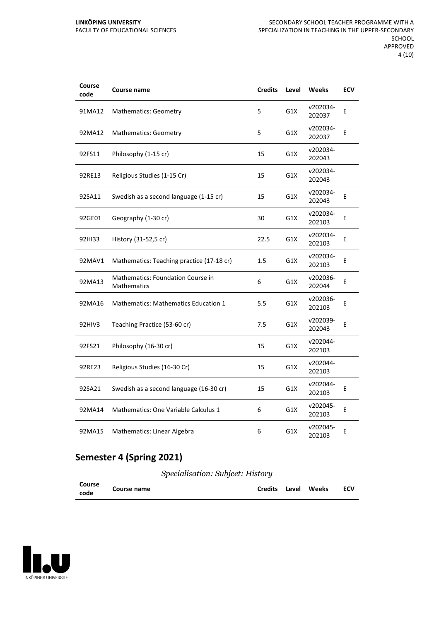#### **LINKÖPING UNIVERSITY** FACULTY OF EDUCATIONAL SCIENCES

| Course<br>code | Course name                                             | <b>Credits</b> | Level | <b>Weeks</b>       | <b>ECV</b> |
|----------------|---------------------------------------------------------|----------------|-------|--------------------|------------|
| 91MA12         | <b>Mathematics: Geometry</b>                            | 5              | G1X   | v202034-<br>202037 | E          |
| 92MA12         | <b>Mathematics: Geometry</b>                            | 5              | G1X   | v202034-<br>202037 | E          |
| 92FS11         | Philosophy (1-15 cr)                                    | 15             | G1X   | v202034-<br>202043 |            |
| 92RE13         | Religious Studies (1-15 Cr)                             | 15             | G1X   | v202034-<br>202043 |            |
| 92SA11         | Swedish as a second language (1-15 cr)                  | 15             | G1X   | v202034-<br>202043 | E          |
| 92GE01         | Geography (1-30 cr)                                     | 30             | G1X   | v202034-<br>202103 | E          |
| 92HI33         | History (31-52,5 cr)                                    | 22.5           | G1X   | v202034-<br>202103 | E          |
| 92MAV1         | Mathematics: Teaching practice (17-18 cr)               | 1.5            | G1X   | v202034-<br>202103 | E          |
| 92MA13         | Mathematics: Foundation Course in<br><b>Mathematics</b> | 6              | G1X   | v202036-<br>202044 | E          |
| 92MA16         | <b>Mathematics: Mathematics Education 1</b>             | 5.5            | G1X   | v202036-<br>202103 | E          |
| 92HIV3         | Teaching Practice (53-60 cr)                            | 7.5            | G1X   | v202039-<br>202043 | E          |
| 92FS21         | Philosophy (16-30 cr)                                   | 15             | G1X   | v202044-<br>202103 |            |
| 92RE23         | Religious Studies (16-30 Cr)                            | 15             | G1X   | v202044-<br>202103 |            |
| 92SA21         | Swedish as a second language (16-30 cr)                 | 15             | G1X   | v202044-<br>202103 | E          |
| 92MA14         | Mathematics: One Variable Calculus 1                    | 6              | G1X   | v202045-<br>202103 | E          |
| 92MA15         | Mathematics: Linear Algebra                             | 6              | G1X   | v202045-<br>202103 | E          |

## **Semester 4 (Spring 2021)**

| Course | Course name |  | Credits Level Weeks | <b>ECV</b> |
|--------|-------------|--|---------------------|------------|
| code   |             |  |                     |            |

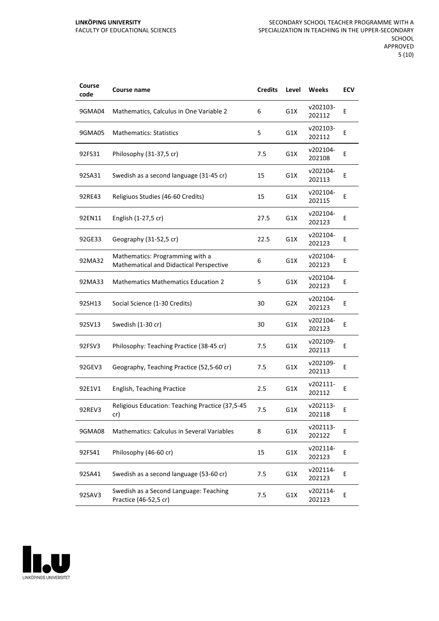| Course<br>code | <b>Course name</b>                                                         | <b>Credits</b> | Level            | Weeks              | ECV |
|----------------|----------------------------------------------------------------------------|----------------|------------------|--------------------|-----|
| 9GMA04         | Mathematics, Calculus in One Variable 2                                    | 6              | G1X              | v202103-<br>202112 | Ε   |
| 9GMA05         | <b>Mathematics: Statistics</b>                                             | 5              | G1X              | v202103-<br>202112 | Ε   |
| 92FS31         | Philosophy (31-37,5 cr)                                                    | 7.5            | G1X              | v202104-<br>202108 | E   |
| 92SA31         | Swedish as a second language (31-45 cr)                                    | 15             | G1X              | v202104-<br>202113 | E   |
| 92RE43         | Religiuos Studies (46-60 Credits)                                          | 15             | G1X              | v202104-<br>202115 | Ε   |
| 92EN11         | English (1-27,5 cr)                                                        | 27.5           | G1X              | v202104-<br>202123 | E   |
| 92GE33         | Geography (31-52,5 cr)                                                     | 22.5           | G1X              | v202104-<br>202123 | Ε   |
| 92MA32         | Mathematics: Programming with a<br>Mathematical and Didactical Perspective | 6              | G1X              | v202104-<br>202123 | Ε   |
| 92MA33         | <b>Mathematics Mathematics Education 2</b>                                 | 5              | G1X              | v202104-<br>202123 | E   |
| 92SH13         | Social Science (1-30 Credits)                                              | 30             | G <sub>2</sub> X | v202104-<br>202123 | E   |
| 92SV13         | Swedish (1-30 cr)                                                          | 30             | G1X              | v202104-<br>202123 | E   |
| 92FSV3         | Philosophy: Teaching Practice (38-45 cr)                                   | 7.5            | G1X              | v202109-<br>202113 | Ε   |
| 92GEV3         | Geography, Teaching Practice (52,5-60 cr)                                  | 7.5            | G1X              | v202109-<br>202113 | E   |
| 92E1V1         | <b>English, Teaching Practice</b>                                          | 2.5            | G1X              | v202111-<br>202112 | E   |
| 92REV3         | Religious Education: Teaching Practice (37,5-45<br>cr)                     | 7.5            | G1X              | v202113-<br>202118 | E   |
| 9GMA08         | Mathematics: Calculus in Several Variables                                 | 8              | G1X              | v202113-<br>202122 | E   |
| 92FS41         | Philosophy (46-60 cr)                                                      | 15             | G1X              | v202114-<br>202123 | E   |
| 92SA41         | Swedish as a second language (53-60 cr)                                    | 7.5            | G1X              | v202114-<br>202123 | Ε   |
| 92SAV3         | Swedish as a Second Language: Teaching<br>Practice (46-52,5 cr)            | 7.5            | G1X              | v202114-<br>202123 | E   |

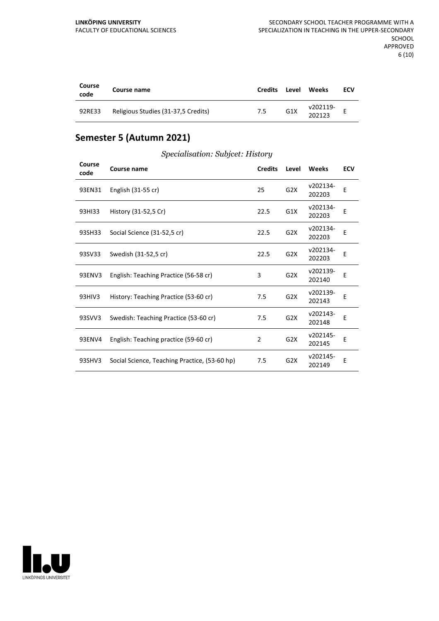| Course<br>code | Course name                         | <b>Credits</b> | Level            | <b>Weeks</b>       | ECV |
|----------------|-------------------------------------|----------------|------------------|--------------------|-----|
| 92RE33         | Religious Studies (31-37,5 Credits) | 7.5            | G <sub>1</sub> X | v202119-<br>202123 |     |

## **Semester 5 (Autumn 2021)**

| Course<br>code | Course name                                   | <b>Credits</b> | Level            | Weeks              | <b>ECV</b> |
|----------------|-----------------------------------------------|----------------|------------------|--------------------|------------|
| 93EN31         | English (31-55 cr)                            | 25             | G2X              | v202134-<br>202203 | E          |
| 93HI33         | History (31-52,5 Cr)                          | 22.5           | G1X              | v202134-<br>202203 | E          |
| 93SH33         | Social Science (31-52,5 cr)                   | 22.5           | G <sub>2</sub> X | v202134-<br>202203 | E          |
| 93SV33         | Swedish (31-52,5 cr)                          | 22.5           | G2X              | v202134-<br>202203 | E          |
| 93ENV3         | English: Teaching Practice (56-58 cr)         | 3              | G <sub>2</sub> X | v202139-<br>202140 | E          |
| 93HIV3         | History: Teaching Practice (53-60 cr)         | 7.5            | G <sub>2</sub> X | v202139-<br>202143 | E          |
| 93SVV3         | Swedish: Teaching Practice (53-60 cr)         | 7.5            | G <sub>2</sub> X | v202143-<br>202148 | E          |
| 93ENV4         | English: Teaching practice (59-60 cr)         | 2              | G2X              | v202145-<br>202145 | E          |
| 93SHV3         | Social Science, Teaching Practice, (53-60 hp) | 7.5            | G <sub>2</sub> X | v202145-<br>202149 | E          |

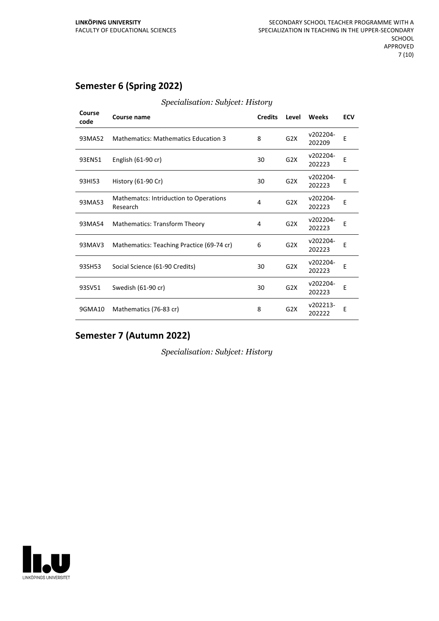## **Semester 6 (Spring 2022)**

| Course<br>code | <b>Course name</b>                                        | <b>Credits</b> | Level            | Weeks              | <b>ECV</b> |
|----------------|-----------------------------------------------------------|----------------|------------------|--------------------|------------|
| 93MA52         | <b>Mathematics: Mathematics Education 3</b>               | 8              | G <sub>2</sub> X | v202204-<br>202209 | Ε          |
| 93EN51         | English (61-90 cr)                                        | 30             | G2X              | v202204-<br>202223 | E          |
| 93HI53         | History (61-90 Cr)                                        | 30             | G2X              | v202204-<br>202223 | E          |
| 93MA53         | <b>Mathematcs: Intriduction to Operations</b><br>Research | 4              | G2X              | v202204-<br>202223 | E          |
| 93MA54         | <b>Mathematics: Transform Theory</b>                      | 4              | G <sub>2</sub> X | v202204-<br>202223 | E          |
| 93MAV3         | Mathematics: Teaching Practice (69-74 cr)                 | 6              | G2X              | v202204-<br>202223 | E          |
| 93SH53         | Social Science (61-90 Credits)                            | 30             | G <sub>2</sub> X | v202204-<br>202223 | E          |
| 93SV51         | Swedish (61-90 cr)                                        | 30             | G <sub>2</sub> X | v202204-<br>202223 | E          |
| 9GMA10         | Mathematics (76-83 cr)                                    | 8              | G <sub>2</sub> X | v202213-<br>202222 | Ε          |

#### *Specialisation: Subjcet: History*

## **Semester 7 (Autumn 2022)**

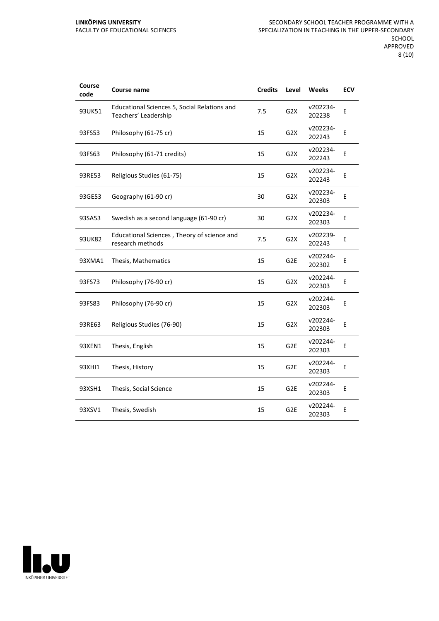| Course<br>code | Course name                                                          | <b>Credits</b> | Level            | <b>Weeks</b>       | <b>ECV</b> |
|----------------|----------------------------------------------------------------------|----------------|------------------|--------------------|------------|
| 93UK51         | Educational Sciences 5, Social Relations and<br>Teachers' Leadership | 7.5            | G2X              | v202234-<br>202238 | Е          |
| 93FS53         | Philosophy (61-75 cr)                                                | 15             | G <sub>2</sub> X | v202234-<br>202243 | E          |
| 93FS63         | Philosophy (61-71 credits)                                           | 15             | G2X              | v202234-<br>202243 | E          |
| 93RE53         | Religious Studies (61-75)                                            | 15             | G <sub>2</sub> X | v202234-<br>202243 | E          |
| 93GE53         | Geography (61-90 cr)                                                 | 30             | G <sub>2</sub> X | v202234-<br>202303 | Ε          |
| 93SA53         | Swedish as a second language (61-90 cr)                              | 30             | G2X              | v202234-<br>202303 | E          |
| 93UK82         | Educational Sciences, Theory of science and<br>research methods      | 7.5            | G2X              | v202239-<br>202243 | E          |
| 93XMA1         | Thesis, Mathematics                                                  | 15             | G <sub>2E</sub>  | v202244-<br>202302 | E          |
| 93FS73         | Philosophy (76-90 cr)                                                | 15             | G <sub>2</sub> X | v202244-<br>202303 | E          |
| 93FS83         | Philosophy (76-90 cr)                                                | 15             | G2X              | v202244-<br>202303 | E          |
| 93RE63         | Religious Studies (76-90)                                            | 15             | G2X              | v202244-<br>202303 | E          |
| 93XEN1         | Thesis, English                                                      | 15             | G <sub>2E</sub>  | v202244-<br>202303 | Ε          |
| 93XHI1         | Thesis, History                                                      | 15             | G <sub>2E</sub>  | v202244-<br>202303 | E          |
| 93XSH1         | Thesis, Social Science                                               | 15             | G <sub>2E</sub>  | v202244-<br>202303 | E          |
| 93XSV1         | Thesis, Swedish                                                      | 15             | G <sub>2E</sub>  | v202244-<br>202303 | E          |

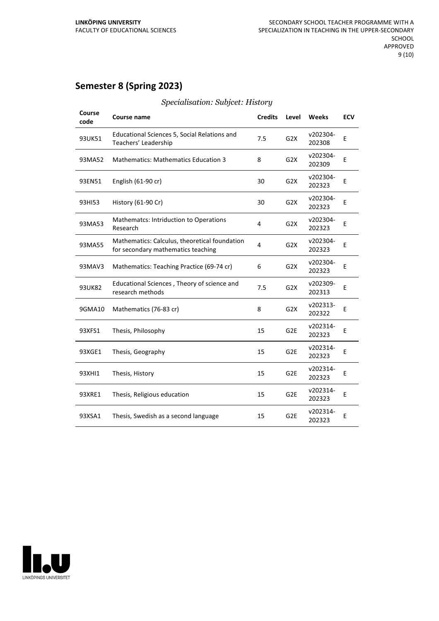## **Semester 8 (Spring 2023)**

| Course<br>code | Course name                                                                         | <b>Credits</b> | Level            | Weeks              | <b>ECV</b> |
|----------------|-------------------------------------------------------------------------------------|----------------|------------------|--------------------|------------|
| 93UK51         | Educational Sciences 5, Social Relations and<br>Teachers' Leadership                | 7.5            | G <sub>2</sub> X | v202304-<br>202308 | E          |
| 93MA52         | <b>Mathematics: Mathematics Education 3</b>                                         | 8              | G2X              | v202304-<br>202309 | E          |
| 93EN51         | English $(61-90 \text{ cr})$                                                        | 30             | G <sub>2</sub> X | v202304-<br>202323 | E          |
| 93HI53         | History (61-90 Cr)                                                                  | 30             | G <sub>2</sub> X | v202304-<br>202323 | E          |
| 93MA53         | <b>Mathematcs: Intriduction to Operations</b><br>Research                           | 4              | G2X              | v202304-<br>202323 | E          |
| 93MA55         | Mathematics: Calculus, theoretical foundation<br>for secondary mathematics teaching | 4              | G2X              | v202304-<br>202323 | E          |
| 93MAV3         | Mathematics: Teaching Practice (69-74 cr)                                           | 6              | G2X              | v202304-<br>202323 | E          |
| 93UK82         | Educational Sciences, Theory of science and<br>research methods                     | 7.5            | G2X              | v202309-<br>202313 | E          |
| 9GMA10         | Mathematics (76-83 cr)                                                              | 8              | G <sub>2</sub> X | v202313-<br>202322 | E          |
| 93XFS1         | Thesis, Philosophy                                                                  | 15             | G <sub>2E</sub>  | v202314-<br>202323 | E          |
| 93XGE1         | Thesis, Geography                                                                   | 15             | G <sub>2E</sub>  | v202314-<br>202323 | E          |
| 93XHI1         | Thesis, History                                                                     | 15             | G <sub>2E</sub>  | v202314-<br>202323 | E          |
| 93XRE1         | Thesis, Religious education                                                         | 15             | G <sub>2E</sub>  | v202314-<br>202323 | E          |
| 93XSA1         | Thesis, Swedish as a second language                                                | 15             | G <sub>2E</sub>  | v202314-<br>202323 | E          |
|                |                                                                                     |                |                  |                    |            |